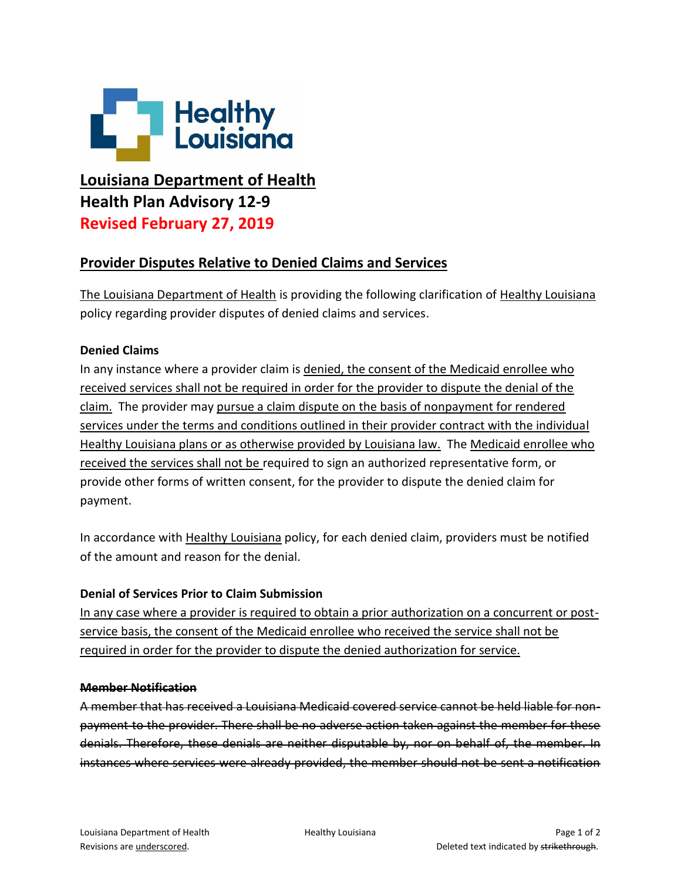

# **Louisiana Department of Health Health Plan Advisory 12-9 Revised February 27, 2019**

## **Provider Disputes Relative to Denied Claims and Services**

The Louisiana Department of Health is providing the following clarification of Healthy Louisiana policy regarding provider disputes of denied claims and services.

### **Denied Claims**

In any instance where a provider claim is denied, the consent of the Medicaid enrollee who received services shall not be required in order for the provider to dispute the denial of the claim. The provider may pursue a claim dispute on the basis of nonpayment for rendered services under the terms and conditions outlined in their provider contract with the individual Healthy Louisiana plans or as otherwise provided by Louisiana law. The Medicaid enrollee who received the services shall not be required to sign an authorized representative form, or provide other forms of written consent, for the provider to dispute the denied claim for payment.

In accordance with Healthy Louisiana policy, for each denied claim, providers must be notified of the amount and reason for the denial.

### **Denial of Services Prior to Claim Submission**

In any case where a provider is required to obtain a prior authorization on a concurrent or postservice basis, the consent of the Medicaid enrollee who received the service shall not be required in order for the provider to dispute the denied authorization for service.

#### **Member Notification**

A member that has received a Louisiana Medicaid covered service cannot be held liable for nonpayment to the provider. There shall be no adverse action taken against the member for these denials. Therefore, these denials are neither disputable by, nor on behalf of, the member. In instances where services were already provided, the member should not be sent a notification